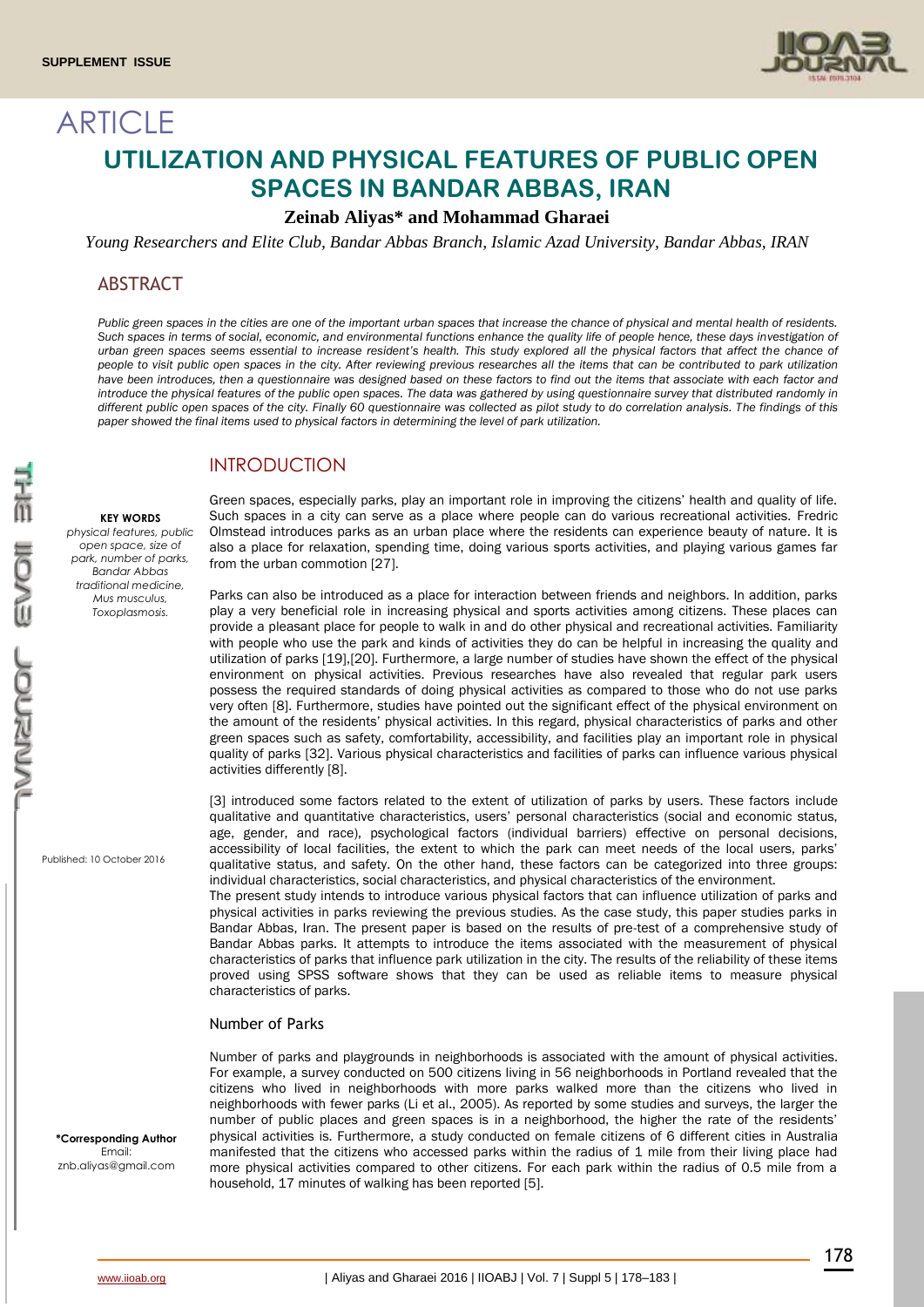

# **ARTICLE UTILIZATION AND PHYSICAL FEATURES OF PUBLIC OPEN SPACES IN BANDAR ABBAS, IRAN**

# **Zeinab Aliyas\* and Mohammad Gharaei**

*Young Researchers and Elite Club, Bandar Abbas Branch, Islamic Azad University, Bandar Abbas, IRAN*

## **ABSTRACT**

*Public green spaces in the cities are one of the important urban spaces that increase the chance of physical and mental health of residents. Such spaces in terms of social, economic, and environmental functions enhance the quality life of people hence, these days investigation of urban green spaces seems essential to increase resident's health. This study explored all the physical factors that affect the chance of people to visit public open spaces in the city. After reviewing previous researches all the items that can be contributed to park utilization have been introduces, then a questionnaire was designed based on these factors to find out the items that associate with each factor and introduce the physical features of the public open spaces. The data was gathered by using questionnaire survey that distributed randomly in different public open spaces of the city. Finally 60 questionnaire was collected as pilot study to do correlation analysis. The findings of this paper showed the final items used to physical factors in determining the level of park utilization.*

# **INTRODUCTION**

#### **KEY WORDS**

*physical features, public open space, size of park, number of parks, Bandar Abbas traditional medicine, Mus musculus, Toxoplasmosis.*

Olmstead introduces parks as an urban place where the residents can experience beauty of nature. It is also a place for relaxation, spending time, doing various sports activities, and playing various games far from the urban commotion [27]. Parks can also be introduced as a place for interaction between friends and neighbors. In addition, parks

Green spaces, especially parks, play an important role in improving the citizens' health and quality of life. Such spaces in a city can serve as a place where people can do various recreational activities. Fredric

play a very beneficial role in increasing physical and sports activities among citizens. These places can provide a pleasant place for people to walk in and do other physical and recreational activities. Familiarity with people who use the park and kinds of activities they do can be helpful in increasing the quality and utilization of parks [19],[20]. Furthermore, a large number of studies have shown the effect of the physical environment on physical activities. Previous researches have also revealed that regular park users possess the required standards of doing physical activities as compared to those who do not use parks very often [8]. Furthermore, studies have pointed out the significant effect of the physical environment on the amount of the residents' physical activities. In this regard, physical characteristics of parks and other green spaces such as safety, comfortability, accessibility, and facilities play an important role in physical quality of parks [32]. Various physical characteristics and facilities of parks can influence various physical activities differently [8].

[3] introduced some factors related to the extent of utilization of parks by users. These factors include qualitative and quantitative characteristics, users' personal characteristics (social and economic status, age, gender, and race), psychological factors (individual barriers) effective on personal decisions, accessibility of local facilities, the extent to which the park can meet needs of the local users, parks' qualitative status, and safety. On the other hand, these factors can be categorized into three groups: individual characteristics, social characteristics, and physical characteristics of the environment.

The present study intends to introduce various physical factors that can influence utilization of parks and physical activities in parks reviewing the previous studies. As the case study, this paper studies parks in Bandar Abbas, Iran. The present paper is based on the results of pre-test of a comprehensive study of Bandar Abbas parks. It attempts to introduce the items associated with the measurement of physical characteristics of parks that influence park utilization in the city. The results of the reliability of these items proved using SPSS software shows that they can be used as reliable items to measure physical characteristics of parks.

## Number of Parks

Number of parks and playgrounds in neighborhoods is associated with the amount of physical activities. For example, a survey conducted on 500 citizens living in 56 neighborhoods in Portland revealed that the citizens who lived in neighborhoods with more parks walked more than the citizens who lived in neighborhoods with fewer parks (Li et al., 2005). As reported by some studies and surveys, the larger the number of public places and green spaces is in a neighborhood, the higher the rate of the residents' physical activities is. Furthermore, a study conducted on female citizens of 6 different cities in Australia manifested that the citizens who accessed parks within the radius of 1 mile from their living place had more physical activities compared to other citizens. For each park within the radius of 0.5 mile from a household, 17 minutes of walking has been reported [5].

Published: 10 October 2016

**\*Corresponding Author** Email: znb.aliyas@gmail.com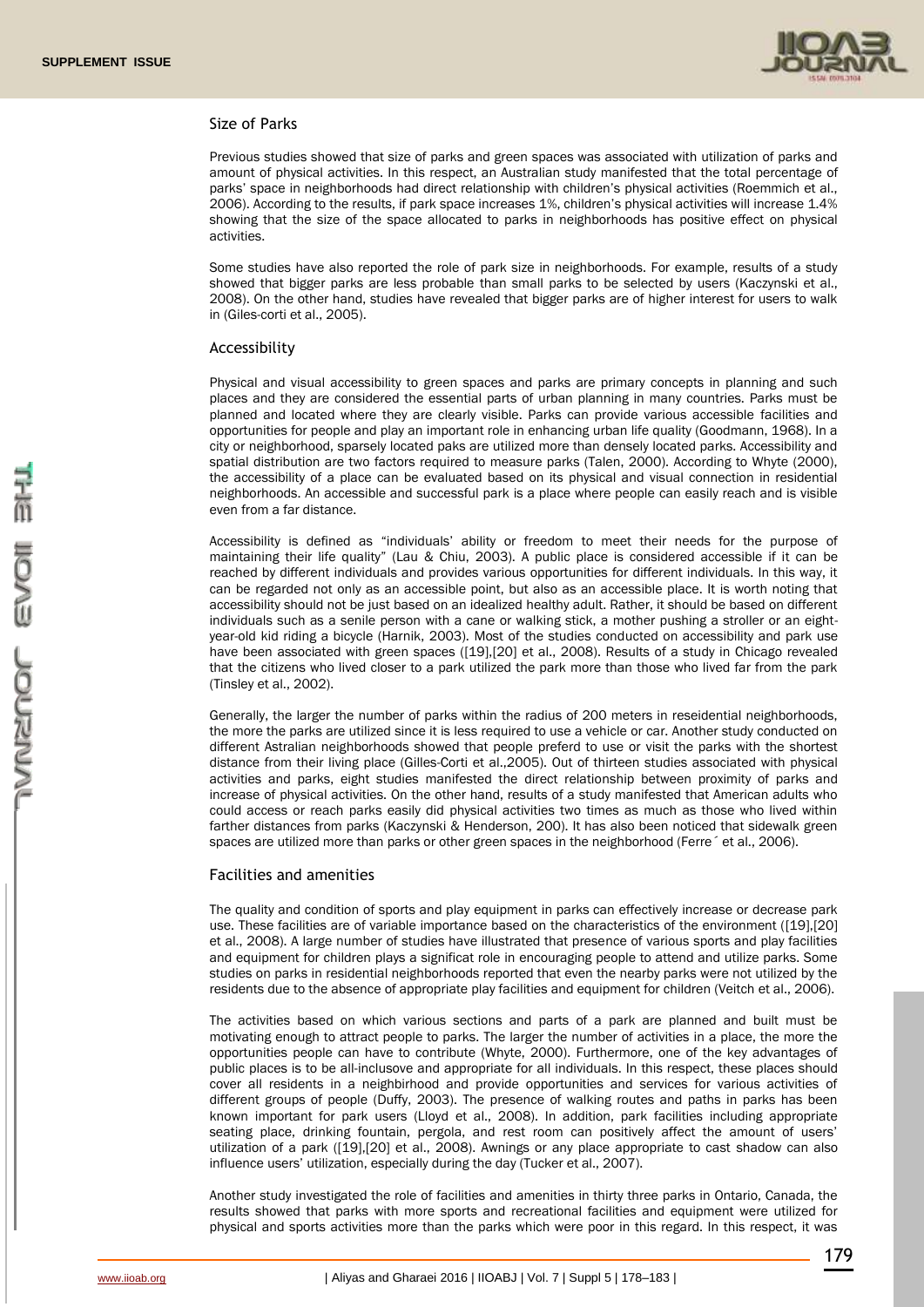

#### Size of Parks

Previous studies showed that size of parks and green spaces was associated with utilization of parks and amount of physical activities. In this respect, an Australian study manifested that the total percentage of parks' space in neighborhoods had direct relationship with children's physical activities (Roemmich et al., 2006). According to the results, if park space increases 1%, children's physical activities will increase 1.4% showing that the size of the space allocated to parks in neighborhoods has positive effect on physical activities.

Some studies have also reported the role of park size in neighborhoods. For example, results of a study showed that bigger parks are less probable than small parks to be selected by users (Kaczynski et al., 2008). On the other hand, studies have revealed that bigger parks are of higher interest for users to walk in (Giles-corti et al., 2005).

#### Accessibility

Physical and visual accessibility to green spaces and parks are primary concepts in planning and such places and they are considered the essential parts of urban planning in many countries. Parks must be planned and located where they are clearly visible. Parks can provide various accessible facilities and opportunities for people and play an important role in enhancing urban life quality (Goodmann, 1968). In a city or neighborhood, sparsely located paks are utilized more than densely located parks. Accessibility and spatial distribution are two factors required to measure parks (Talen, 2000). According to Whyte (2000), the accessibility of a place can be evaluated based on its physical and visual connection in residential neighborhoods. An accessible and successful park is a place where people can easily reach and is visible even from a far distance.

Accessibility is defined as "individuals' ability or freedom to meet their needs for the purpose of maintaining their life quality" (Lau & Chiu, 2003). A public place is considered accessible if it can be reached by different individuals and provides various opportunities for different individuals. In this way, it can be regarded not only as an accessible point, but also as an accessible place. It is worth noting that accessibility should not be just based on an idealized healthy adult. Rather, it should be based on different individuals such as a senile person with a cane or walking stick, a mother pushing a stroller or an eightyear-old kid riding a bicycle (Harnik, 2003). Most of the studies conducted on accessibility and park use have been associated with green spaces ([19],[20] et al., 2008). Results of a study in Chicago revealed that the citizens who lived closer to a park utilized the park more than those who lived far from the park (Tinsley et al., 2002).

Generally, the larger the number of parks within the radius of 200 meters in reseidential neighborhoods, the more the parks are utilized since it is less required to use a vehicle or car. Another study conducted on different Astralian neighborhoods showed that people preferd to use or visit the parks with the shortest distance from their living place (Gilles-Corti et al.,2005). Out of thirteen studies associated with physical activities and parks, eight studies manifested the direct relationship between proximity of parks and increase of physical activities. On the other hand, results of a study manifested that American adults who could access or reach parks easily did physical activities two times as much as those who lived within farther distances from parks (Kaczynski & Henderson, 200). It has also been noticed that sidewalk green spaces are utilized more than parks or other green spaces in the neighborhood (Ferre  $\epsilon$  et al., 2006).

#### Facilities and amenities

The quality and condition of sports and play equipment in parks can effectively increase or decrease park use. These facilities are of variable importance based on the characteristics of the environment ([19],[20] et al., 2008). A large number of studies have illustrated that presence of various sports and play facilities and equipment for children plays a significat role in encouraging people to attend and utilize parks. Some studies on parks in residential neighborhoods reported that even the nearby parks were not utilized by the residents due to the absence of appropriate play facilities and equipment for children (Veitch et al., 2006).

The activities based on which various sections and parts of a park are planned and built must be motivating enough to attract people to parks. The larger the number of activities in a place, the more the opportunities people can have to contribute (Whyte, 2000). Furthermore, one of the key advantages of public places is to be all-inclusove and appropriate for all individuals. In this respect, these places should cover all residents in a neighbirhood and provide opportunities and services for various activities of different groups of people (Duffy, 2003). The presence of walking routes and paths in parks has been known important for park users (Lloyd et al., 2008). In addition, park facilities including appropriate seating place, drinking fountain, pergola, and rest room can positively affect the amount of users' utilization of a park ([19],[20] et al., 2008). Awnings or any place appropriate to cast shadow can also influence users' utilization, especially during the day (Tucker et al., 2007).

Another study investigated the role of facilities and amenities in thirty three parks in Ontario, Canada, the results showed that parks with more sports and recreational facilities and equipment were utilized for physical and sports activities more than the parks which were poor in this regard. In this respect, it was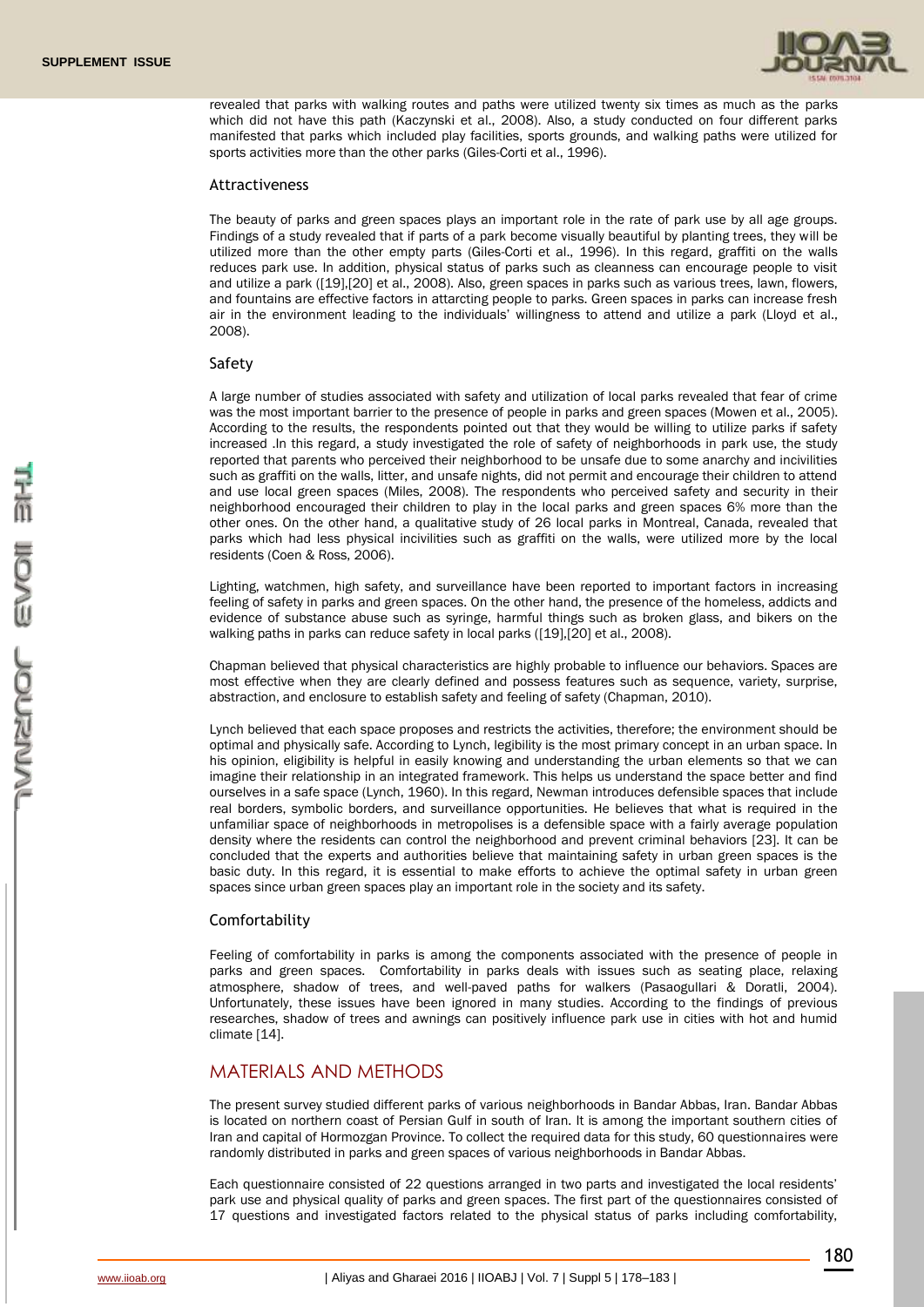

revealed that parks with walking routes and paths were utilized twenty six times as much as the parks which did not have this path (Kaczynski et al., 2008). Also, a study conducted on four different parks manifested that parks which included play facilities, sports grounds, and walking paths were utilized for sports activities more than the other parks (Giles-Corti et al., 1996).

#### Attractiveness

The beauty of parks and green spaces plays an important role in the rate of park use by all age groups. Findings of a study revealed that if parts of a park become visually beautiful by planting trees, they will be utilized more than the other empty parts (Giles-Corti et al., 1996). In this regard, graffiti on the walls reduces park use. In addition, physical status of parks such as cleanness can encourage people to visit and utilize a park ([19],[20] et al., 2008). Also, green spaces in parks such as various trees, lawn, flowers, and fountains are effective factors in attarcting people to parks. Green spaces in parks can increase fresh air in the environment leading to the individuals' willingness to attend and utilize a park (Lloyd et al., 2008).

#### Safety

A large number of studies associated with safety and utilization of local parks revealed that fear of crime was the most important barrier to the presence of people in parks and green spaces (Mowen et al., 2005). According to the results, the respondents pointed out that they would be willing to utilize parks if safety increased .In this regard, a study investigated the role of safety of neighborhoods in park use, the study reported that parents who perceived their neighborhood to be unsafe due to some anarchy and incivilities such as graffiti on the walls, litter, and unsafe nights, did not permit and encourage their children to attend and use local green spaces (Miles, 2008). The respondents who perceived safety and security in their neighborhood encouraged their children to play in the local parks and green spaces 6% more than the other ones. On the other hand, a qualitative study of 26 local parks in Montreal, Canada, revealed that parks which had less physical incivilities such as graffiti on the walls, were utilized more by the local residents (Coen & Ross, 2006).

Lighting, watchmen, high safety, and surveillance have been reported to important factors in increasing feeling of safety in parks and green spaces. On the other hand, the presence of the homeless, addicts and evidence of substance abuse such as syringe, harmful things such as broken glass, and bikers on the walking paths in parks can reduce safety in local parks ([19],[20] et al., 2008).

Chapman believed that physical characteristics are highly probable to influence our behaviors. Spaces are most effective when they are clearly defined and possess features such as sequence, variety, surprise, abstraction, and enclosure to establish safety and feeling of safety (Chapman, 2010).

Lynch believed that each space proposes and restricts the activities, therefore; the environment should be optimal and physically safe. According to Lynch, legibility is the most primary concept in an urban space. In his opinion, eligibility is helpful in easily knowing and understanding the urban elements so that we can imagine their relationship in an integrated framework. This helps us understand the space better and find ourselves in a safe space (Lynch, 1960). In this regard, Newman introduces defensible spaces that include real borders, symbolic borders, and surveillance opportunities. He believes that what is required in the unfamiliar space of neighborhoods in metropolises is a defensible space with a fairly average population density where the residents can control the neighborhood and prevent criminal behaviors [23]. It can be concluded that the experts and authorities believe that maintaining safety in urban green spaces is the basic duty. In this regard, it is essential to make efforts to achieve the optimal safety in urban green spaces since urban green spaces play an important role in the society and its safety.

#### Comfortability

Feeling of comfortability in parks is among the components associated with the presence of people in parks and green spaces. Comfortability in parks deals with issues such as seating place, relaxing atmosphere, shadow of trees, and well-paved paths for walkers (Pasaogullari & Doratli, 2004). Unfortunately, these issues have been ignored in many studies. According to the findings of previous researches, shadow of trees and awnings can positively influence park use in cities with hot and humid climate [14].

# MATERIALS AND METHODS

The present survey studied different parks of various neighborhoods in Bandar Abbas, Iran. Bandar Abbas is located on northern coast of Persian Gulf in south of Iran. It is among the important southern cities of Iran and capital of Hormozgan Province. To collect the required data for this study, 60 questionnaires were randomly distributed in parks and green spaces of various neighborhoods in Bandar Abbas.

Each questionnaire consisted of 22 questions arranged in two parts and investigated the local residents' park use and physical quality of parks and green spaces. The first part of the questionnaires consisted of 17 questions and investigated factors related to the physical status of parks including comfortability,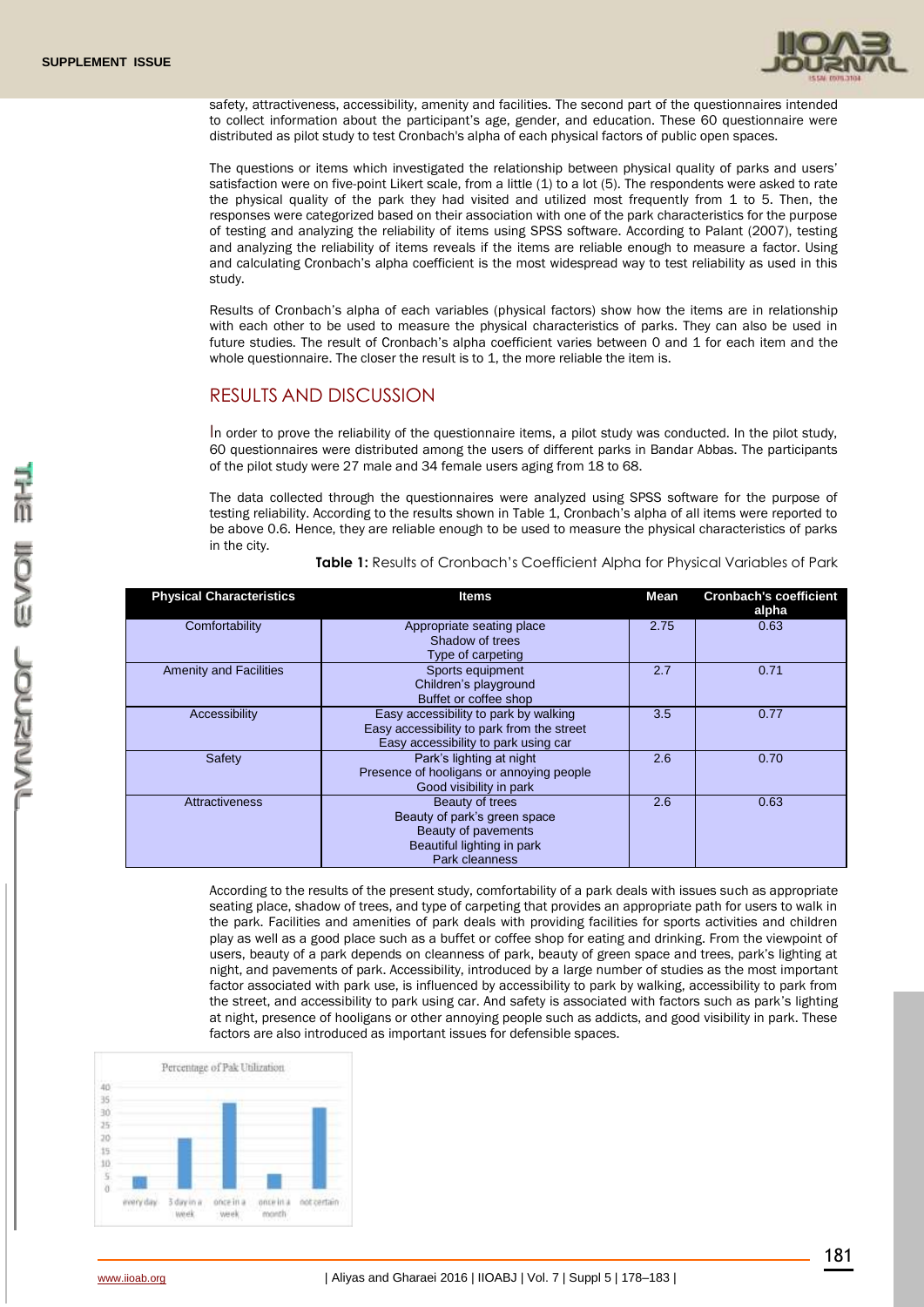

safety, attractiveness, accessibility, amenity and facilities. The second part of the questionnaires intended to collect information about the participant's age, gender, and education. These 60 questionnaire were distributed as pilot study to test Cronbach's alpha of each physical factors of public open spaces.

The questions or items which investigated the relationship between physical quality of parks and users' satisfaction were on five-point Likert scale, from a little (1) to a lot (5). The respondents were asked to rate the physical quality of the park they had visited and utilized most frequently from 1 to 5. Then, the responses were categorized based on their association with one of the park characteristics for the purpose of testing and analyzing the reliability of items using SPSS software. According to Palant (2007), testing and analyzing the reliability of items reveals if the items are reliable enough to measure a factor. Using and calculating Cronbach's alpha coefficient is the most widespread way to test reliability as used in this study.

Results of Cronbach's alpha of each variables (physical factors) show how the items are in relationship with each other to be used to measure the physical characteristics of parks. They can also be used in future studies. The result of Cronbach's alpha coefficient varies between 0 and 1 for each item and the whole questionnaire. The closer the result is to 1, the more reliable the item is.

# RESULTS AND DISCUSSION

In order to prove the reliability of the questionnaire items, a pilot study was conducted. In the pilot study, 60 questionnaires were distributed among the users of different parks in Bandar Abbas. The participants of the pilot study were 27 male and 34 female users aging from 18 to 68.

The data collected through the questionnaires were analyzed using SPSS software for the purpose of testing reliability. According to the results shown in Table 1, Cronbach's alpha of all items were reported to be above 0.6. Hence, they are reliable enough to be used to measure the physical characteristics of parks in the city.

| <b>Physical Characteristics</b> | Items                                                                                                                       | <b>Mean</b> | <b>Cronbach's coefficient</b><br>alpha |
|---------------------------------|-----------------------------------------------------------------------------------------------------------------------------|-------------|----------------------------------------|
| Comfortability                  | Appropriate seating place<br>Shadow of trees                                                                                | 2.75        | 0.63                                   |
|                                 | Type of carpeting                                                                                                           |             |                                        |
| <b>Amenity and Facilities</b>   | Sports equipment<br>Children's playground<br>Buffet or coffee shop                                                          | 2.7         | 0.71                                   |
| Accessibility                   | Easy accessibility to park by walking<br>Easy accessibility to park from the street<br>Easy accessibility to park using car | 3.5         | 0.77                                   |
| Safety                          | Park's lighting at night<br>Presence of hooligans or annoying people<br>Good visibility in park                             | 2.6         | 0.70                                   |
| <b>Attractiveness</b>           | Beauty of trees<br>Beauty of park's green space<br>Beauty of pavements<br>Beautiful lighting in park<br>Park cleanness      | 2.6         | 0.63                                   |

**Table 1:** Results of Cronbach's Coefficient Alpha for Physical Variables of Park

According to the results of the present study, comfortability of a park deals with issues such as appropriate seating place, shadow of trees, and type of carpeting that provides an appropriate path for users to walk in the park. Facilities and amenities of park deals with providing facilities for sports activities and children play as well as a good place such as a buffet or coffee shop for eating and drinking. From the viewpoint of users, beauty of a park depends on cleanness of park, beauty of green space and trees, park's lighting at night, and pavements of park. Accessibility, introduced by a large number of studies as the most important factor associated with park use, is influenced by accessibility to park by walking, accessibility to park from the street, and accessibility to park using car. And safety is associated with factors such as park's lighting at night, presence of hooligans or other annoying people such as addicts, and good visibility in park. These factors are also introduced as important issues for defensible spaces.

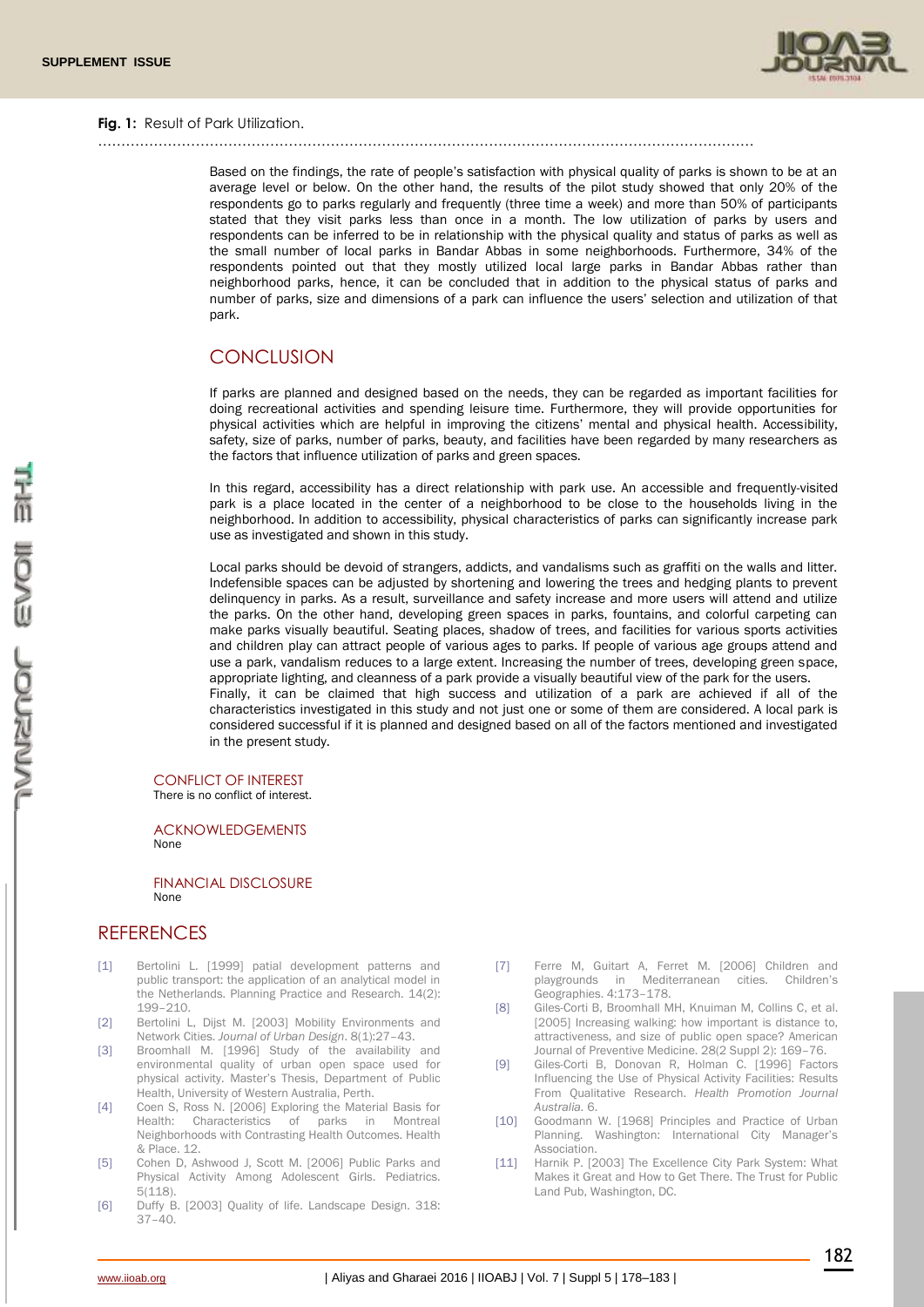

#### **Fig. 1:** Result of Park Utilization.

……………………………………………………………………………………………………………………………

Based on the findings, the rate of people's satisfaction with physical quality of parks is shown to be at an average level or below. On the other hand, the results of the pilot study showed that only 20% of the respondents go to parks regularly and frequently (three time a week) and more than 50% of participants stated that they visit parks less than once in a month. The low utilization of parks by users and respondents can be inferred to be in relationship with the physical quality and status of parks as well as the small number of local parks in Bandar Abbas in some neighborhoods. Furthermore, 34% of the respondents pointed out that they mostly utilized local large parks in Bandar Abbas rather than neighborhood parks, hence, it can be concluded that in addition to the physical status of parks and number of parks, size and dimensions of a park can influence the users' selection and utilization of that park.

# **CONCLUSION**

If parks are planned and designed based on the needs, they can be regarded as important facilities for doing recreational activities and spending leisure time. Furthermore, they will provide opportunities for physical activities which are helpful in improving the citizens' mental and physical health. Accessibility, safety, size of parks, number of parks, beauty, and facilities have been regarded by many researchers as the factors that influence utilization of parks and green spaces.

In this regard, accessibility has a direct relationship with park use. An accessible and frequently-visited park is a place located in the center of a neighborhood to be close to the households living in the neighborhood. In addition to accessibility, physical characteristics of parks can significantly increase park use as investigated and shown in this study.

Local parks should be devoid of strangers, addicts, and vandalisms such as graffiti on the walls and litter. Indefensible spaces can be adjusted by shortening and lowering the trees and hedging plants to prevent delinquency in parks. As a result, surveillance and safety increase and more users will attend and utilize the parks. On the other hand, developing green spaces in parks, fountains, and colorful carpeting can make parks visually beautiful. Seating places, shadow of trees, and facilities for various sports activities and children play can attract people of various ages to parks. If people of various age groups attend and use a park, vandalism reduces to a large extent. Increasing the number of trees, developing green space, appropriate lighting, and cleanness of a park provide a visually beautiful view of the park for the users. Finally, it can be claimed that high success and utilization of a park are achieved if all of the characteristics investigated in this study and not just one or some of them are considered. A local park is considered successful if it is planned and designed based on all of the factors mentioned and investigated in the present study.

# CONFLICT OF INTEREST

There is no conflict of interest.

ACKNOWLEDGEMENTS None

FINANCIAL DISCLOSURE None

# **REFERENCES**

- [1] Bertolini L. [1999] patial development patterns and public transport: the application of an analytical model in the Netherlands. Planning Practice and Research. 14(2): 199–210.
- [2] Bertolini L, Dijst M. [2003] Mobility Environments and Network Cities. *Journal of Urban Design*. 8(1):27–43.
- [3] Broomhall M. [1996] Study of the availability and environmental quality of urban open space used for physical activity. Master's Thesis, Department of Public Health, University of Western Australia, Perth.
- [4] Coen S, Ross N. [2006] Exploring the Material Basis for Health: Characteristics of parks in Montreal Neighborhoods with Contrasting Health Outcomes. Health & Place. 12.
- [5] Cohen D, Ashwood J, Scott M. [2006] Public Parks and Physical Activity Among Adolescent Girls. Pediatrics.  $5(118)$
- [6] Duffy B. [2003] Quality of life. Landscape Design. 318: 37–40.
- [7] Ferre M, Guitart A, Ferret M. [2006] Children and playgrounds in Mediterranean cities. Children's Geographies. 4:173–178.
- [8] Giles-Corti B, Broomhall MH, Knuiman M, Collins C, et al. [2005] Increasing walking: how important is distance to, attractiveness, and size of public open space? American Journal of Preventive Medicine. 28(2 Suppl 2): 169–76.
- [9] Giles-Corti B, Donovan R, Holman C. [1996] Factors Influencing the Use of Physical Activity Facilities: Results From Qualitative Research. *Health Promotion Journal Australia.* 6.
- [10] Goodmann W. [1968] Principles and Practice of Urban Planning. Washington: International City Manager's Association.
- [11] Harnik P. [2003] The Excellence City Park System: What Makes it Great and How to Get There. The Trust for Public Land Pub, Washington, DC.